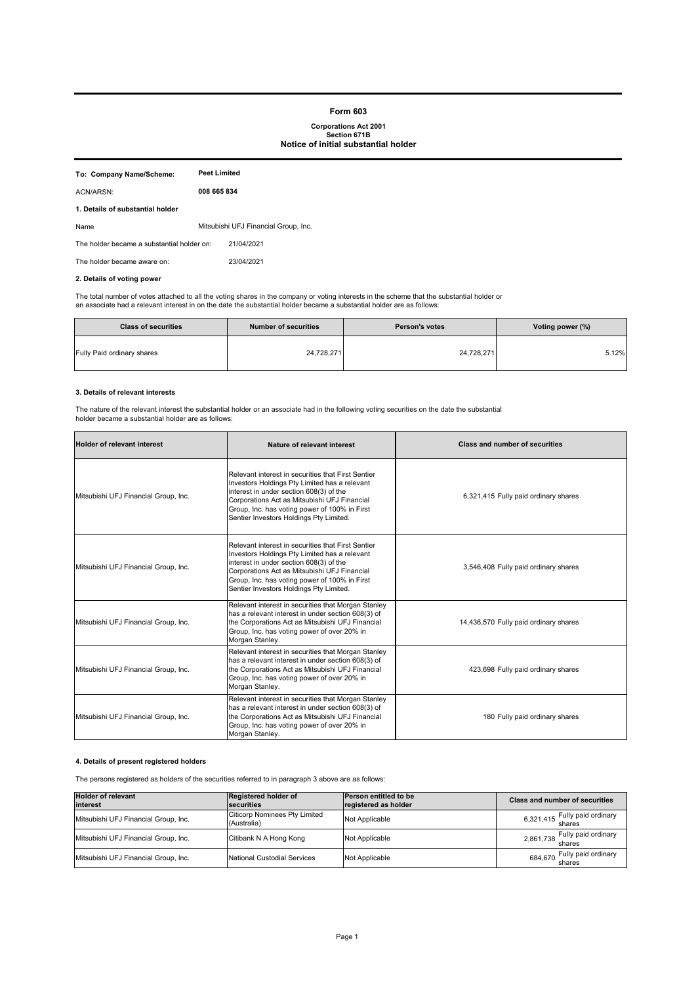#### **Form 603**

# **Corporations Act 2001 Section 671B Notice of initial substantial holder**

| To: Company Name/Scheme:                   | Peet Limited |                                      |
|--------------------------------------------|--------------|--------------------------------------|
| ACN/ARSN:                                  | 008 665 834  |                                      |
| 1. Details of substantial holder           |              |                                      |
| Name                                       |              | Mitsubishi UFJ Financial Group, Inc. |
| The holder became a substantial holder on: |              | 21/04/2021                           |
| The holder became aware on:                |              | 23/04/2021                           |
|                                            |              |                                      |

## **2. Details of voting power**

The total number of votes attached to all the voting shares in the company or voting interests in the scheme that the substantial holder or<br>an associate had a relevant interest in on the date the substantial holder became

| <b>Class of securities</b> | <b>Number of securities</b> | <b>Person's votes</b> | Voting power (%) |
|----------------------------|-----------------------------|-----------------------|------------------|
| Fully Paid ordinary shares | 24,728,271                  | 24,728,271            | 5.12%            |

### **3. Details of relevant interests**

The nature of the relevant interest the substantial holder or an associate had in the following voting securities on the date the substantial holder became a substantial holder are as follows:

| <b>Holder of relevant interest</b>   | Nature of relevant interest                                                                                                                                                                                                                                                                | <b>Class and number of securities</b> |
|--------------------------------------|--------------------------------------------------------------------------------------------------------------------------------------------------------------------------------------------------------------------------------------------------------------------------------------------|---------------------------------------|
| Mitsubishi UFJ Financial Group, Inc. | Relevant interest in securities that First Sentier<br>Investors Holdings Pty Limited has a relevant<br>interest in under section 608(3) of the<br>Corporations Act as Mitsubishi UFJ Financial<br>Group, Inc. has voting power of 100% in First<br>Sentier Investors Holdings Pty Limited. | 6,321,415 Fully paid ordinary shares  |
| Mitsubishi UFJ Financial Group, Inc. | Relevant interest in securities that First Sentier<br>Investors Holdings Pty Limited has a relevant<br>interest in under section 608(3) of the<br>Corporations Act as Mitsubishi UFJ Financial<br>Group, Inc. has voting power of 100% in First<br>Sentier Investors Holdings Pty Limited. | 3,546,408 Fully paid ordinary shares  |
| Mitsubishi UFJ Financial Group, Inc. | Relevant interest in securities that Morgan Stanley<br>has a relevant interest in under section 608(3) of<br>the Corporations Act as Mitsubishi UFJ Financial<br>Group, Inc. has voting power of over 20% in<br>Morgan Stanley.                                                            | 14,436,570 Fully paid ordinary shares |
| Mitsubishi UFJ Financial Group, Inc. | Relevant interest in securities that Morgan Stanley<br>has a relevant interest in under section 608(3) of<br>the Corporations Act as Mitsubishi UFJ Financial<br>Group, Inc. has voting power of over 20% in<br>Morgan Stanley.                                                            | 423,698 Fully paid ordinary shares    |
| Mitsubishi UFJ Financial Group, Inc. | Relevant interest in securities that Morgan Stanley<br>has a relevant interest in under section 608(3) of<br>the Corporations Act as Mitsubishi UFJ Financial<br>Group, Inc. has voting power of over 20% in<br>Morgan Stanley.                                                            | 180 Fully paid ordinary shares        |

### **4. Details of present registered holders**

The persons registered as holders of the securities referred to in paragraph 3 above are as follows:

| <b>Holder of relevant</b><br>interest | Registered holder of<br>securities                  | <b>Person entitled to be</b><br>registered as holder | <b>Class and number of securities</b>    |
|---------------------------------------|-----------------------------------------------------|------------------------------------------------------|------------------------------------------|
| Mitsubishi UFJ Financial Group, Inc.  | <b>Citicorp Nominees Pty Limited</b><br>(Australia) | Not Applicable                                       | 6,321,415 Fully paid ordinary            |
| Mitsubishi UFJ Financial Group, Inc.  | Citibank N A Hong Kong                              | Not Applicable                                       | 2,861,738 Fully paid ordinary            |
| Mitsubishi UFJ Financial Group, Inc.  | <b>National Custodial Services</b>                  | Not Applicable                                       | Fully paid ordinary<br>684,670<br>shares |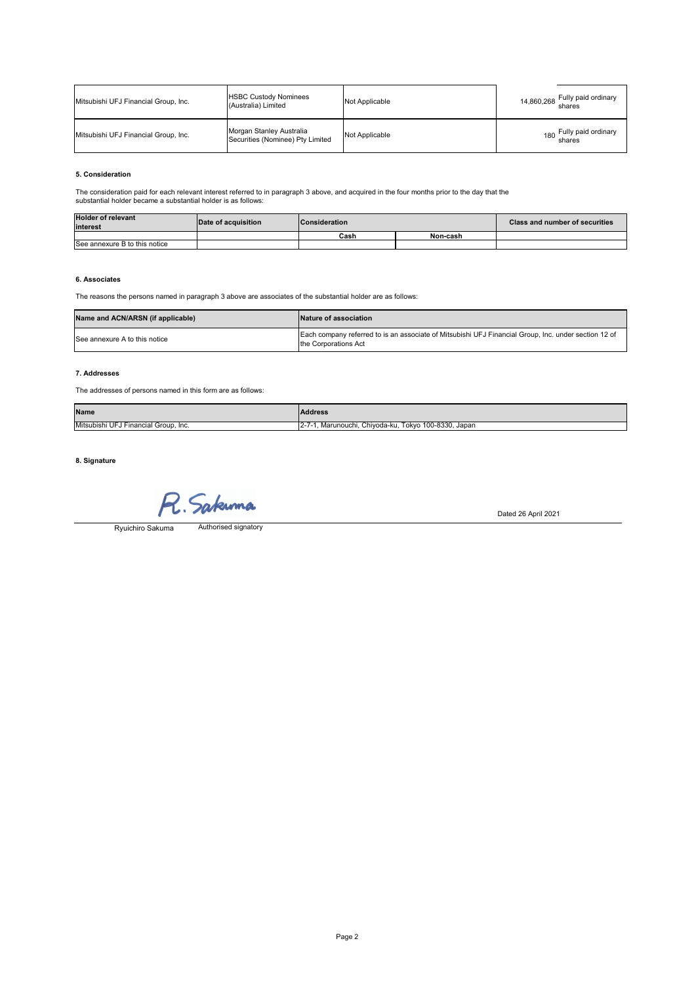| Mitsubishi UFJ Financial Group, Inc. | <b>HSBC Custody Nominees</b><br>(Australia) Limited          | Not Applicable | Fully paid ordinary<br>14,860,268 shares |
|--------------------------------------|--------------------------------------------------------------|----------------|------------------------------------------|
| Mitsubishi UFJ Financial Group, Inc. | Morgan Stanley Australia<br>Securities (Nominee) Pty Limited | Not Applicable | Fully paid ordinary<br>180<br>shares     |

### **5. Consideration**

The consideration paid for each relevant interest referred to in paragraph 3 above, and acquired in the four months prior to the day that the substantial holder became a substantial holder is as follows:

| <b>Holder of relevant</b><br>interest | Date of acquisition | <b>Consideration</b> |          | <b>Class and number of securities</b> |
|---------------------------------------|---------------------|----------------------|----------|---------------------------------------|
|                                       |                     | Cash                 | Non-cash |                                       |
| See annexure B to this notice         |                     |                      |          |                                       |
|                                       |                     |                      |          |                                       |

#### **6. Associates**

The reasons the persons named in paragraph 3 above are associates of the substantial holder are as follows:

| Name and ACN/ARSN (if applicable) | <b>Nature of association</b>                                                                                                 |
|-----------------------------------|------------------------------------------------------------------------------------------------------------------------------|
| See annexure A to this notice     | Each company referred to is an associate of Mitsubishi UFJ Financial Group, Inc. under section 12 of<br>the Corporations Act |

#### **7. Addresses**

The addresses of persons named in this form are as follows:

| Name                                          | <b>Address</b>                                                          |
|-----------------------------------------------|-------------------------------------------------------------------------|
| Mitsubishi UFJ Fir<br>l Financial Group, Inc. | Tokyo 100-8330.<br>. Chivoda-ku<br>. Japar<br>Marunouchi.<br>$-2 - 1 -$ |

**8. Signature**

Sakuma

Authorised signatory Ryuichiro Sakuma

Dated 26 April 2021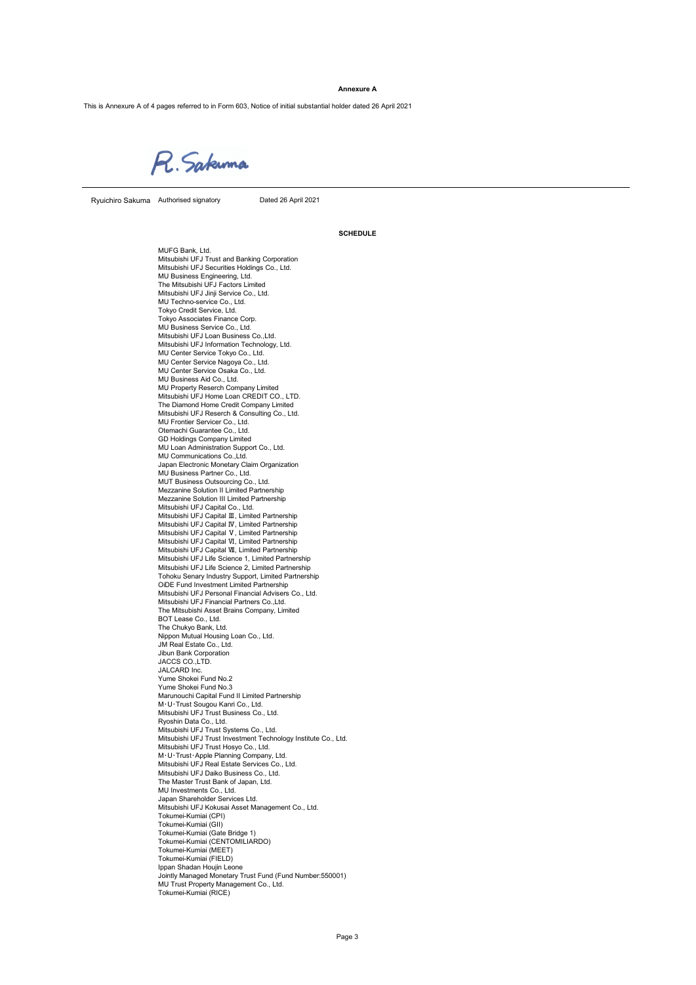#### **Annexure A**

This is Annexure A of 4 pages referred to in Form 603, Notice of initial substantial holder dated 26 April 2021

R. Sakuma

Ryuichiro Sakuma Authorised signatory **Dated 26 April 2021** 

**SCHEDULE**

MUFG Bank, Ltd. Mitsubishi UFJ Trust and Banking Corporation Mitsubishi UFJ Securities Holdings Co., Ltd. MU Business Engineering, Ltd. The Mitsubishi UFJ Factors Limited Mitsubishi UFJ Jinji Service Co., Ltd. MU Techno-service Co., Ltd. Tokyo Credit Service, Ltd. Tokyo Associates Finance Corp. MU Business Service Co., Ltd. Mitsubishi UFJ Loan Business Co.,Ltd. Mitsubishi UFJ Information Technology, Ltd. MU Center Service Tokyo Co., Ltd. MU Center Service Nagoya Co., Ltd. MU Center Service Osaka Co., Ltd. MU Business Aid Co., Ltd. MU Property Reserch Company Limited Mitsubishi UFJ Home Loan CREDIT CO., LTD. The Diamond Home Credit Company Limited Mitsubishi UFJ Reserch & Consulting Co., Ltd. MU Frontier Servicer Co., Ltd. Otemachi Guarantee Co., Ltd. GD Holdings Company Limited MU Loan Administration Support Co., Ltd. MU Communications Co., Ltd. Japan Electronic Monetary Claim Organization MU Business Partner Co., Ltd. MUT Business Outsourcing Co., Ltd. Mezzanine Solution II Limited Partnership Mezzanine Solution III Limited Partnership Mitsubishi UFJ Capital Co., Ltd.<br>Mitsubishi UFJ Capital Ⅲ, Limited Partnership Mitsubishi UFJ Capital Ⅳ, Limited Partnership<br>Mitsubishi UFJ Capital Ⅴ, Limited Partnership<br>Mitsubishi UFJ Capital Ⅵ, Limited Partnership<br>Mitsubishi UFJ Capital Ⅶ, Limited Partnership Mitsubishi UFJ Life Science 1, Limited Partnership Mitsubishi UFJ Life Science 2, Limited Partnership Tohoku Senary Industry Support, Limited Partnership OiDE Fund Investment Limited Partnership Mitsubishi UFJ Personal Financial Advisers Co., Ltd. Mitsubishi UFJ Financial Partners Co., Ltd. The Mitsubishi Asset Brains Company, Limited BOT Lease Co., Ltd. The Chukyo Bank, Ltd. Nippon Mutual Housing Loan Co., Ltd. JM Real Estate Co., Ltd. Jibun Bank Corporation JACCS CO.,LTD. JALCARD Inc. Yume Shokei Fund No.2 Yume Shokei Fund No.3 Marunouchi Capital Fund II Limited Partnership M・U・Trust Sougou Kanri Co., Ltd. Mitsubishi UFJ Trust Business Co., Ltd. Ryoshin Data Co., Ltd. Mitsubishi UFJ Trust Systems Co., Ltd. Mitsubishi UFJ Trust Investment Technology Institute Co., Ltd. Mitsubishi UFJ Trust Hosyo Co., Ltd. M・U・Trust・Apple Planning Company, Ltd. Mitsubishi UFJ Real Estate Services Co., Ltd. Mitsubishi UFJ Daiko Business Co., Ltd. The Master Trust Bank of Japan, Ltd. MU Investments Co., Ltd. Japan Shareholder Services Ltd. Mitsubishi UFJ Kokusai Asset Management Co., Ltd. Tokumei-Kumiai (CPI) Tokumei-Kumiai (GII) Tokumei-Kumiai (Gate Bridge 1) Tokumei-Kumiai (CENTOMILIARDO) Tokumei-Kumiai (MEET) Tokumei-Kumiai (FIELD) Ippan Shadan Houjin Leone Jointly Managed Monetary Trust Fund (Fund Number:550001) MU Trust Property Management Co., Ltd. Tokumei-Kumiai (RICE)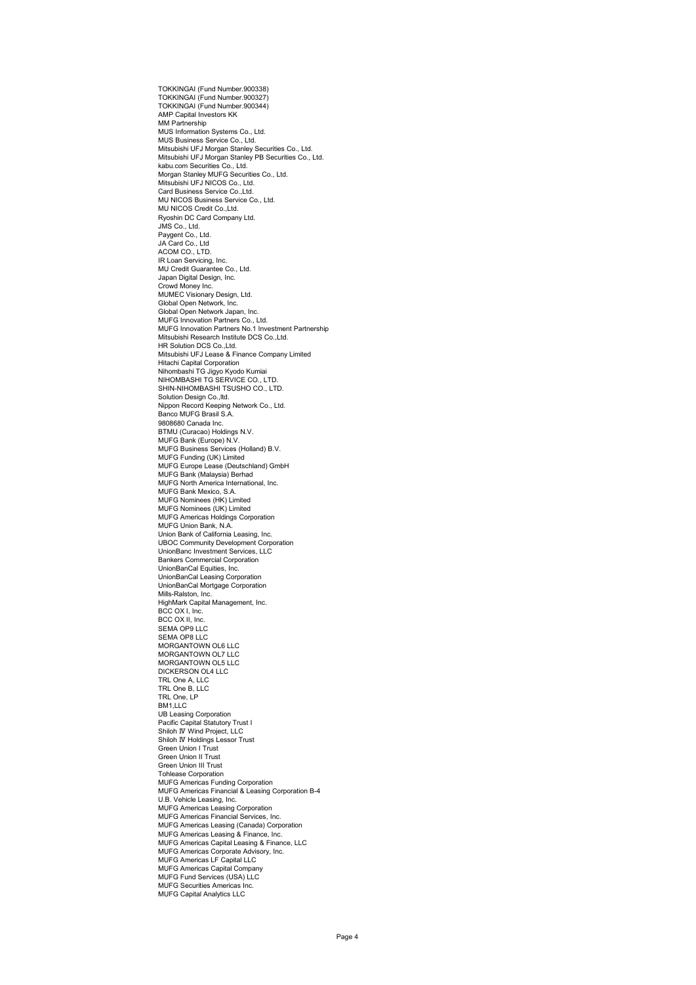TOKKINGAI (Fund Number.900338) TOKKINGAI (Fund Number.900327) TOKKINGAI (Fund Number.900344) AMP Capital Investors KK MM Partnership MUS Information Systems Co., Ltd. MUS Business Service Co., Ltd. Mitsubishi UFJ Morgan Stanley Securities Co., Ltd. Mitsubishi UFJ Morgan Stanley PB Securities Co., Ltd. kabu.com Securities Co., Ltd. Morgan Stanley MUFG Securities Co., Ltd. Mitsubishi UFJ NICOS Co., Ltd. Card Business Service Co.,Ltd. MU NICOS Business Service Co., Ltd. MU NICOS Credit Co.,Ltd. Ryoshin DC Card Company Ltd. JMS Co., Ltd. Paygent Co., Ltd. JA Card Co., Ltd ACOM CO., LTD. IR Loan Servicing, Inc. MU Credit Guarantee Co., Ltd. Japan Digital Design, Inc. Crowd Money Inc. MUMEC Visionary Design, Ltd. Global Open Network, Inc. Global Open Network Japan, Inc. MUFG Innovation Partners Co., Ltd. MUFG Innovation Partners No.1 Investment Partnership Mitsubishi Research Institute DCS Co.,Ltd. HR Solution DCS Co.,Ltd. Mitsubishi UFJ Lease & Finance Company Limited Hitachi Capital Corporation Nihombashi TG Jigyo Kyodo Kumiai NIHOMBASHI TG SERVICE CO., LTD. SHIN-NIHOMBASHI TSUSHO CO., LTD. Solution Design Co., Itd. Nippon Record Keeping Network Co., Ltd. Banco MUFG Brasil S.A. 9808680 Canada Inc. BTMU (Curacao) Holdings N.V. MUFG Bank (Europe) N.V. MUFG Business Services (Holland) B.V. MUFG Funding (UK) Limited MUFG Europe Lease (Deutschland) GmbH MUFG Bank (Malaysia) Berhad MUFG North America International, Inc. MUFG Bank Mexico, S.A. MUFG Nominees (HK) Limited MUFG Nominees (UK) Limited MUFG Americas Holdings Corporation MUFG Union Bank, N.A. Union Bank of California Leasing, Inc. UBOC Community Development Corporation UnionBanc Investment Services, LLC Bankers Commercial Corporation UnionBanCal Equities, Inc. UnionBanCal Leasing Corporation UnionBanCal Mortgage Corporation Mills-Ralston, Inc. HighMark Capital Management, Inc. BCC OX I, Inc. BCC OX II, Inc. SEMA OP9 LLC SEMA OP8 LLC MORGANTOWN OL6 LLC MORGANTOWN OL7 LLC MORGANTOWN OL5 LLC DICKERSON OL4 LLC TRL One A, LLC TRL One B, LLC TRL One, LP  $BM111C$ UB Leasing Corporation Pacific Capital Statutory Trust I Shiloh Ⅳ Wind Project, LLC Shiloh Ⅳ Holdings Lessor Trust Green Union I Trust Green Union II Trust Green Union III Trust Tohlease Corporation MUFG Americas Funding Corporation MUFG Americas Financial & Leasing Corporation B-4 U.B. Vehicle Leasing, Inc. MUFG Americas Leasing Corporation MUFG Americas Financial Services, Inc. MUFG Americas Leasing (Canada) Corporation MUFG Americas Leasing & Finance, Inc. MUFG Americas Capital Leasing & Finance, LLC MUFG Americas Corporate Advisory, Inc. MUFG Americas LF Capital LLC MUFG Americas Capital Company MUFG Fund Services (USA) LLC MUFG Securities Americas Inc. MUFG Capital Analytics LLC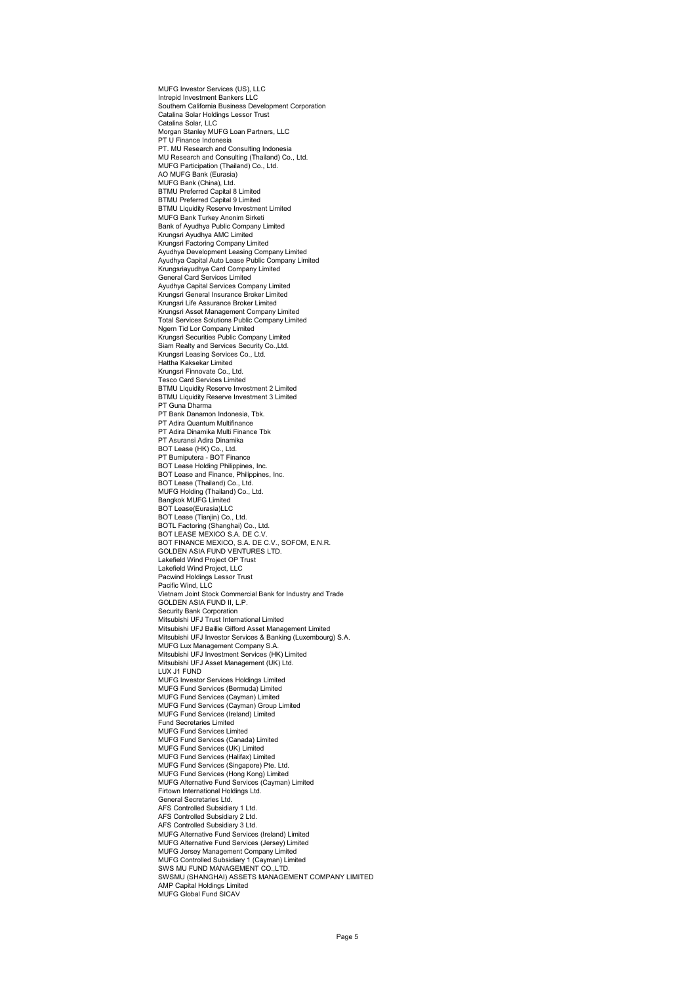MUFG Investor Services (US), LLC Intrepid Investment Bankers LLC Southern California Business Development Corporation Catalina Solar Holdings Lessor Trust Catalina Solar, LLC Morgan Stanley MUFG Loan Partners, LLC PT U Finance Indonesia PT. MU Research and Consulting Indonesia MU Research and Consulting (Thailand) Co., Ltd. MUFG Participation (Thailand) Co., Ltd. AO MUFG Bank (Eurasia) MUFG Bank (China), Ltd. BTMU Preferred Capital 8 Limited BTMU Preferred Capital 9 Limited BTMU Liquidity Reserve Investment Limited MUFG Bank Turkey Anonim Sirketi Bank of Ayudhya Public Company Limited Krungsri Ayudhya AMC Limited Krungsri Factoring Company Limited Ayudhya Development Leasing Company Limited Ayudhya Capital Auto Lease Public Company Limited Krungsriayudhya Card Company Limited General Card Services Limited Ayudhya Capital Services Company Limited Krungsri General Insurance Broker Limited Krungsri Life Assurance Broker Limited Krungsri Asset Management Company Limited Total Services Solutions Public Company Limited Ngern Tid Lor Company Limited Krungsri Securities Public Company Limited Siam Realty and Services Security Co.,Ltd. Krungsri Leasing Services Co., Ltd. Hattha Kaksekar Limited Krungsri Finnovate Co., Ltd. Tesco Card Services Limited BTMU Liquidity Reserve Investment 2 Limited BTMU Liquidity Reserve Investment 3 Limited PT Guna Dharma PT Bank Danamon Indonesia, Tbk. PT Adira Quantum Multifinance PT Adira Dinamika Multi Finance Tbk PT Asuransi Adira Dinamika BOT Lease (HK) Co., Ltd. PT Bumiputera - BOT Finance BOT Lease Holding Philippines, Inc. BOT Lease and Finance, Philippines, Inc. BOT Lease (Thailand) Co., Ltd. MUFG Holding (Thailand) Co., Ltd. Bangkok MUFG Limited BOT Lease(Eurasia)LLC BOT Lease (Tianjin) Co., Ltd. BOTL Factoring (Shanghai) Co., Ltd. BOT LEASE MEXICO S.A. DE C.V. BOT FINANCE MEXICO, S.A. DE C.V., SOFOM, E.N.R. GOLDEN ASIA FUND VENTURES LTD. Lakefield Wind Project OP Trust Lakefield Wind Project, LLC Pacwind Holdings Lessor Trust Pacific Wind, LLC Vietnam Joint Stock Commercial Bank for Industry and Trade GOLDEN ASIA FUND ILL P. Security Bank Corporation Mitsubishi UFJ Trust International Limited Mitsubishi UFJ Baillie Gifford Asset Management Limited Mitsubishi UFJ Investor Services & Banking (Luxembourg) S.A. MUFG Lux Management Company S.A. Mitsubishi UFJ Investment Services (HK) Limited Mitsubishi UFJ Asset Management (UK) Ltd. LUX J1 FUND MUFG Investor Services Holdings Limited MUFG Fund Services (Bermuda) Limited MUFG Fund Services (Cayman) Limited MUFG Fund Services (Cayman) Group Limited MUFG Fund Services (Ireland) Limited Fund Secretaries Limited MUFG Fund Services Limited MUFG Fund Services (Canada) Limited MUFG Fund Services (UK) Limited MUFG Fund Services (Halifax) Limited MUFG Fund Services (Singapore) Pte. Ltd. MUFG Fund Services (Hong Kong) Limited MUFG Alternative Fund Services (Cayman) Limited Firtown International Holdings Ltd. General Secretaries Ltd. AFS Controlled Subsidiary 1 Ltd. AFS Controlled Subsidiary 2 Ltd. AFS Controlled Subsidiary 3 Ltd. MUFG Alternative Fund Services (Ireland) Limited MUFG Alternative Fund Services (Jersey) Limited MUFG Jersey Management Company Limited MUFG Controlled Subsidiary 1 (Cayman) Limited SWS MU FUND MANAGEMENT CO.,LTD. SWSMU (SHANGHAI) ASSETS MANAGEMENT COMPANY LIMITED AMP Capital Holdings Limited MUFG Global Fund SICAV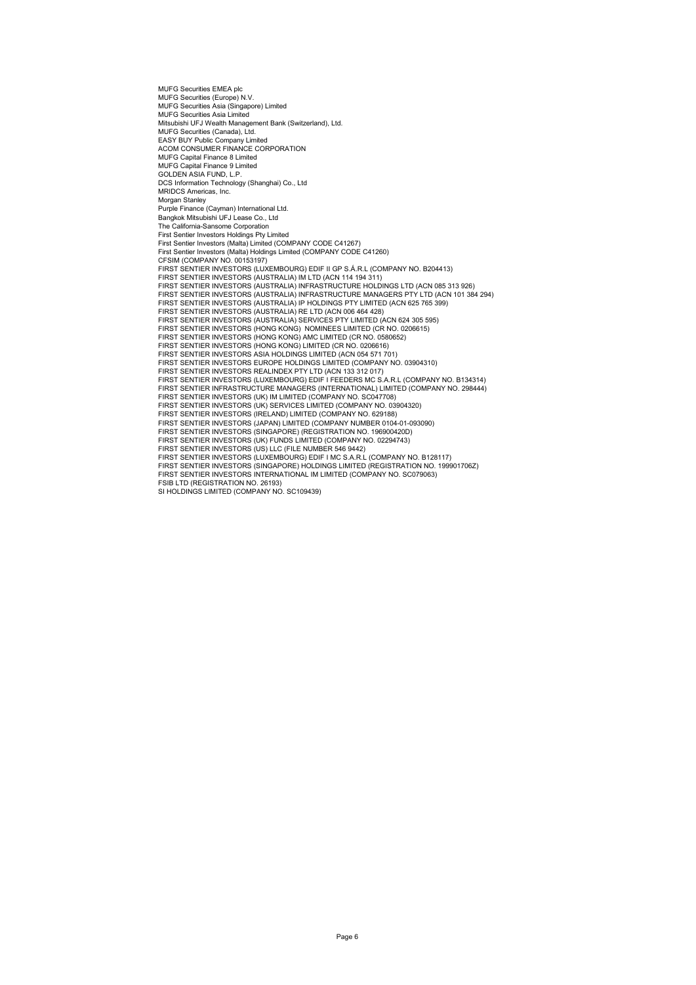MUFG Securities EMEA plc MUFG Securities (Europe) N.V. MUFG Securities Asia (Singapore) Limited MUFG Securities Asia Limited Mitsubishi UFJ Wealth Management Bank (Switzerland), Ltd. MUFG Securities (Canada), Ltd. EASY BUY Public Company Limited ACOM CONSUMER FINANCE CORPORATION MUFG Capital Finance 8 Limited MUFG Capital Finance 9 Limited GOLDEN ASIA FUND, L.P. DCS Information Technology (Shanghai) Co., Ltd MRIDCS Americas, Inc. Morgan Stanley Purple Finance (Cayman) International Ltd. Bangkok Mitsubishi UFJ Lease Co., Ltd The California-Sansome Corporation First Sentier Investors Holdings Pty Limited First Sentier Investors (Malta) Limited (COMPANY CODE C41267) First Sentier Investors (Malta) Holdings Limited (COMPANY CODE C41260) CFSIM (COMPANY NO. 00153197) FIRST SENTIER INVESTORS (LUXEMBOURG) EDIF II GP S.A.R.L (COMPANY NO. B204413)<br>FIRST SENTIER INVESTORS (AUSTRALIA) IM LTD (ACN 114 194 311)<br>FIRST SENTIER INVESTORS (AUSTRALIA) INFRASTRUCTURE HOLDINGS LTD (ACN 085 313 926) FIRST SENTIER INVESTORS (AUSTRALIA) INFRASTRUCTURE MANAGERS PTY LTD (ACN 101 384 294) FIRST SENTIER INVESTORS (AUSTRALIA) IP HOLDINGS PTY LIMITED (ACN 625 765 399) FIRST SENTIER INVESTORS (AUSTRALIA) RE LTD (ACN 006 464 428)<br>FIRST SENTIER INVESTORS (AUSTRALIA) SERVICES PTY LIMITED (CR NCN 624 305 595)<br>FIRST SENTIER INVESTORS (HONG KONG) NOMINEES LIMITED (CR NO. 0206615) FIRST SENTIER INVESTORS (HONG KONG) AMC LIMITED (CR NO. 0580652) FIRST SENTIER INVESTORS (HONG KONG) LIMITED (CR NO. 0206616) FIRST SENTIER INVESTORS ASIA HOLDINGS LIMITED (ACN 054 571 701) FIRST SENTIER INVESTORS EUROPE HOLDINGS LIMITED (COMPANY NO. 03904310)<br>FIRST SENTIER INVESTORS REALINDEX PTY LTD (ACN 133 312 017)<br>FIRST SENTIER INVESTORS (LUXEMBOURG) EDIF I FEEDERS MC S.A.R.L (COMPANY NO. B134314)<br>FIRST FIRST SENTIER INVESTORS (UK) IM LIMITED (COMPANY NO. SC047708) FIRST SENTIER INVESTORS (UK) SERVICES LIMITED (COMPANY NO. 03904320) FIRST SENTIER INVESTORS (IRELAND) LIMITED (COMPANY NO. 629188) FIRST SENTIER INVESTORS (JAPAN) LIMITED (COMPANY NUMBER 0104-01-093090) FIRST SENTIER INVESTORS (SINGAPORE) (REGISTRATION NO. 196900420D) FIRST SENTIER INVESTORS (UK) FUNDS LIMITED (COMPANY NO. 02294743)<br>FIRST SENTIER INVESTORS (US) LLC (FILE NUMBER 546 9442)<br>FIRST SENTIER INVESTORS (LUXEMBOURG) EDIF I MC S.A.R.L (COMPANY NO. B128117) FIRST SENTIER INVESTORS (SINGAPORE) HOLDINGS LIMITED (REGISTRATION NO. 199901706Z) FIRST SENTIER INVESTORS INTERNATIONAL IM LIMITED (COMPANY NO. SC079063) FSIB LTD (REGISTRATION NO. 26193) SI HOLDINGS LIMITED (COMPANY NO. SC109439)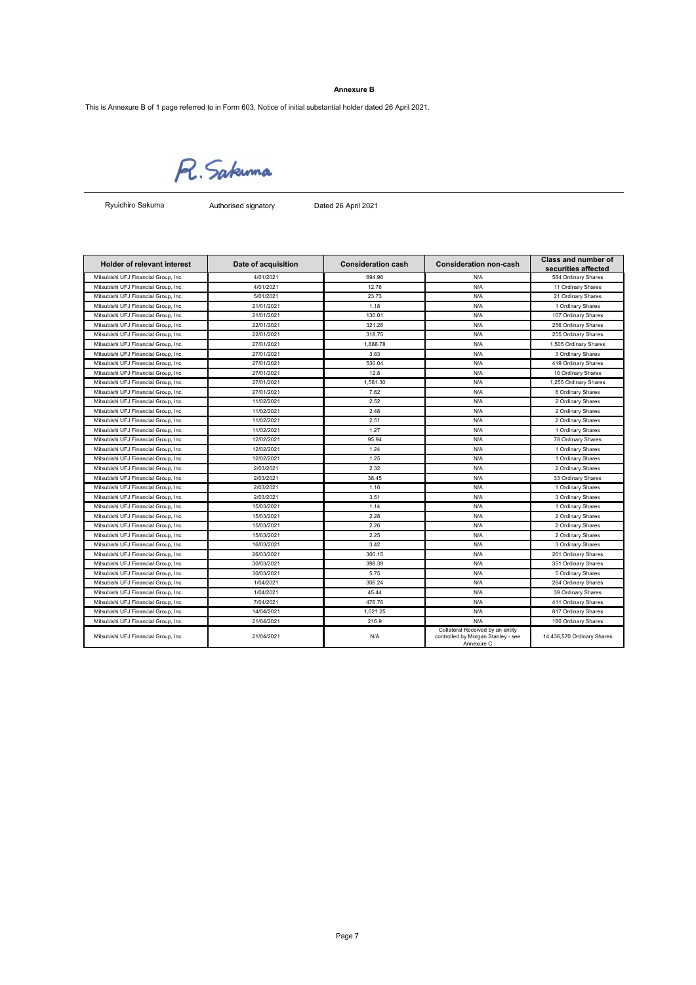## **Annexure B**

This is Annexure B of 1 page referred to in Form 603, Notice of initial substantial holder dated 26 April 2021.

R. Sakuma

Ryuichiro Sakuma

Authorised signatory Dated 26 April 2021

| <b>Holder of relevant interest</b>   | Date of acquisition | <b>Consideration cash</b> | <b>Consideration non-cash</b>                                                        | <b>Class and number of</b> |
|--------------------------------------|---------------------|---------------------------|--------------------------------------------------------------------------------------|----------------------------|
|                                      |                     |                           |                                                                                      | securities affected        |
| Mitsubishi UFJ Financial Group, Inc. | 4/01/2021           | 694.96                    | N/A                                                                                  | 584 Ordinary Shares        |
| Mitsubishi UFJ Financial Group, Inc. | 4/01/2021           | 12.76                     | N/A                                                                                  | 11 Ordinary Shares         |
| Mitsubishi UFJ Financial Group, Inc. | 5/01/2021           | 23.73                     | N/A                                                                                  | 21 Ordinary Shares         |
| Mitsubishi UFJ Financial Group, Inc. | 21/01/2021          | 1.18                      | N/A                                                                                  | 1 Ordinary Shares          |
| Mitsubishi UFJ Financial Group, Inc. | 21/01/2021          | 130.01                    | N/A                                                                                  | 107 Ordinary Shares        |
| Mitsubishi UFJ Financial Group, Inc. | 22/01/2021          | 321.28                    | N/A                                                                                  | 256 Ordinary Shares        |
| Mitsubishi UFJ Financial Group, Inc. | 22/01/2021          | 318.75                    | N/A                                                                                  | 255 Ordinary Shares        |
| Mitsubishi UFJ Financial Group, Inc. | 27/01/2021          | 1,888.78                  | N/A                                                                                  | 1,505 Ordinary Shares      |
| Mitsubishi UFJ Financial Group, Inc. | 27/01/2021          | 3.83                      | N/A                                                                                  | 3 Ordinary Shares          |
| Mitsubishi UFJ Financial Group, Inc. | 27/01/2021          | 530.04                    | N/A                                                                                  | 419 Ordinary Shares        |
| Mitsubishi UFJ Financial Group, Inc. | 27/01/2021          | 12.8                      | N/A                                                                                  | 10 Ordinary Shares         |
| Mitsubishi UFJ Financial Group, Inc. | 27/01/2021          | 1.581.30                  | N/A                                                                                  | 1,255 Ordinary Shares      |
| Mitsubishi UFJ Financial Group, Inc. | 27/01/2021          | 7.62                      | N/A                                                                                  | 6 Ordinary Shares          |
| Mitsubishi UFJ Financial Group, Inc. | 11/02/2021          | 2.52                      | N/A                                                                                  | 2 Ordinary Shares          |
| Mitsubishi UFJ Financial Group, Inc. | 11/02/2021          | 2.48                      | N/A                                                                                  | 2 Ordinary Shares          |
| Mitsubishi UFJ Financial Group, Inc. | 11/02/2021          | 2.51                      | N/A                                                                                  | 2 Ordinary Shares          |
| Mitsubishi UFJ Financial Group, Inc. | 11/02/2021          | 1.27                      | N/A                                                                                  | 1 Ordinary Shares          |
| Mitsubishi UFJ Financial Group, Inc. | 12/02/2021          | 95.94                     | N/A                                                                                  | 78 Ordinary Shares         |
| Mitsubishi UFJ Financial Group, Inc. | 12/02/2021          | 1.24                      | N/A                                                                                  | 1 Ordinary Shares          |
| Mitsubishi UFJ Financial Group, Inc. | 12/02/2021          | 1.25                      | N/A                                                                                  | 1 Ordinary Shares          |
| Mitsubishi UFJ Financial Group, Inc. | 2/03/2021           | 2.32                      | N/A                                                                                  | 2 Ordinary Shares          |
| Mitsubishi UFJ Financial Group, Inc. | 2/03/2021           | 38.45                     | N/A                                                                                  | 33 Ordinary Shares         |
| Mitsubishi UFJ Financial Group, Inc. | 2/03/2021           | 1.16                      | N/A                                                                                  | 1 Ordinary Shares          |
| Mitsubishi UFJ Financial Group, Inc. | 2/03/2021           | 3.51                      | N/A                                                                                  | 3 Ordinary Shares          |
| Mitsubishi UFJ Financial Group, Inc. | 15/03/2021          | 1.14                      | N/A                                                                                  | 1 Ordinary Shares          |
| Mitsubishi UFJ Financial Group, Inc. | 15/03/2021          | 2.28                      | N/A                                                                                  | 2 Ordinary Shares          |
| Mitsubishi UFJ Financial Group, Inc. | 15/03/2021          | 2.26                      | N/A                                                                                  | 2 Ordinary Shares          |
| Mitsubishi UFJ Financial Group, Inc. | 15/03/2021          | 2.25                      | N/A                                                                                  | 2 Ordinary Shares          |
| Mitsubishi UFJ Financial Group, Inc. | 16/03/2021          | 3.42                      | N/A                                                                                  | 3 Ordinary Shares          |
| Mitsubishi UFJ Financial Group, Inc. | 26/03/2021          | 300.15                    | N/A                                                                                  | 261 Ordinary Shares        |
| Mitsubishi UFJ Financial Group, Inc. | 30/03/2021          | 398.39                    | N/A                                                                                  | 351 Ordinary Shares        |
| Mitsubishi UFJ Financial Group, Inc. | 30/03/2021          | 5.75                      | N/A                                                                                  | 5 Ordinary Shares          |
| Mitsubishi UFJ Financial Group, Inc. | 1/04/2021           | 306.24                    | N/A                                                                                  | 264 Ordinary Shares        |
| Mitsubishi UFJ Financial Group, Inc. | 1/04/2021           | 45.44                     | N/A                                                                                  | 39 Ordinary Shares         |
| Mitsubishi UFJ Financial Group, Inc. | 7/04/2021           | 476.76                    | N/A                                                                                  | 411 Ordinary Shares        |
| Mitsubishi UFJ Financial Group, Inc. | 14/04/2021          | 1.021.25                  | N/A                                                                                  | 817 Ordinary Shares        |
| Mitsubishi UFJ Financial Group, Inc. | 21/04/2021          | 216.9                     | N/A                                                                                  | 180 Ordinary Shares        |
| Mitsubishi UFJ Financial Group, Inc. | 21/04/2021          | N/A                       | Collateral Received by an entity<br>controlled by Morgan Stanley - see<br>Annexure C | 14,436,570 Ordinary Shares |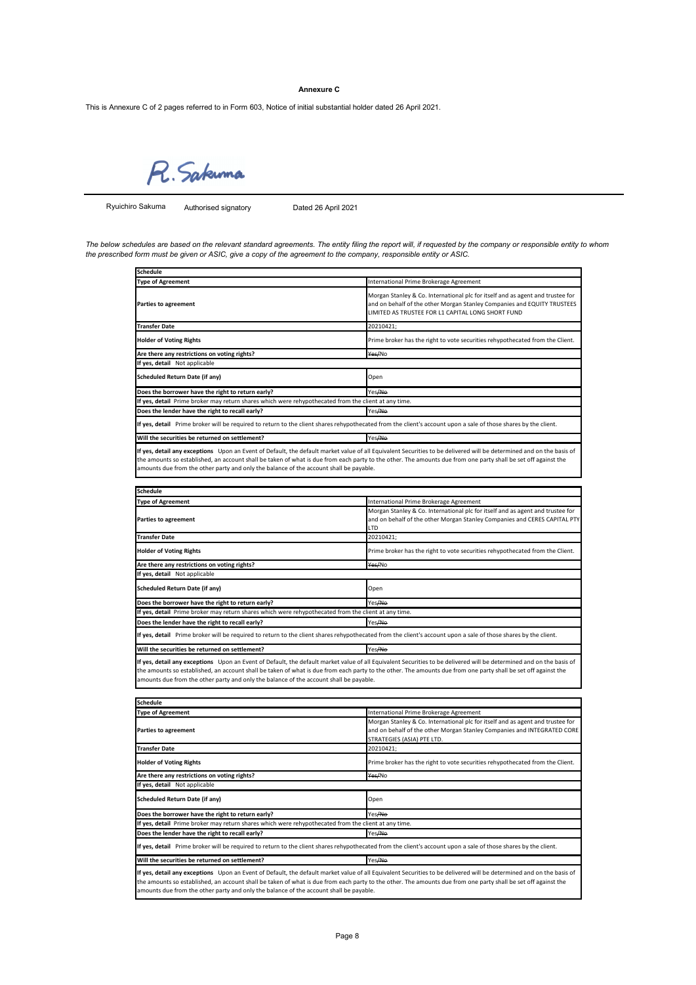#### **Annexure C**

This is Annexure C of 2 pages referred to in Form 603, Notice of initial substantial holder dated 26 April 2021.

R. Sakuma

Ryuichiro Sakuma

Authorised signatory Dated 26 April 2021

The below schedules are based on the relevant standard agreements. The entity filing the report will, if requested by the company or responsible entity to whom<br>the prescribed form must be given or ASIC, give a copy of the

| Schedule                                                                                                                                                                                                                                                 |                                                                                                                                                                                                                |
|----------------------------------------------------------------------------------------------------------------------------------------------------------------------------------------------------------------------------------------------------------|----------------------------------------------------------------------------------------------------------------------------------------------------------------------------------------------------------------|
| <b>Type of Agreement</b>                                                                                                                                                                                                                                 | International Prime Brokerage Agreement                                                                                                                                                                        |
| <b>Parties to agreement</b>                                                                                                                                                                                                                              | Morgan Stanley & Co. International plc for itself and as agent and trustee for<br>and on behalf of the other Morgan Stanley Companies and EQUITY TRUSTEES<br>LIMITED AS TRUSTEE FOR L1 CAPITAL LONG SHORT FUND |
| <b>Transfer Date</b>                                                                                                                                                                                                                                     | 20210421:                                                                                                                                                                                                      |
| <b>Holder of Voting Rights</b>                                                                                                                                                                                                                           | Prime broker has the right to vote securities rehypothecated from the Client.                                                                                                                                  |
| Are there any restrictions on voting rights?                                                                                                                                                                                                             | Yes/No                                                                                                                                                                                                         |
| If yes, detail Not applicable                                                                                                                                                                                                                            |                                                                                                                                                                                                                |
| Scheduled Return Date (if any)                                                                                                                                                                                                                           | Open                                                                                                                                                                                                           |
| Does the borrower have the right to return early?                                                                                                                                                                                                        | Yes <del>/No</del>                                                                                                                                                                                             |
| If yes, detail Prime broker may return shares which were rehypothecated from the client at any time.                                                                                                                                                     |                                                                                                                                                                                                                |
| Does the lender have the right to recall early?                                                                                                                                                                                                          | Yes <del>/No</del>                                                                                                                                                                                             |
| If yes, detail Prime broker will be required to return to the client shares rehypothecated from the client's account upon a sale of those shares by the client.                                                                                          |                                                                                                                                                                                                                |
| Will the securities be returned on settlement?                                                                                                                                                                                                           | Yes <del>/No</del>                                                                                                                                                                                             |
| If yes, detail any exceptions Upon an Event of Default, the default market value of all Equivalent Securities to be delivered will be determined and on the basis of                                                                                     |                                                                                                                                                                                                                |
| the amounts so established, an account shall be taken of what is due from each party to the other. The amounts due from one party shall be set off against the<br>amounts due from the other party and only the balance of the account shall be payable. |                                                                                                                                                                                                                |
| Schedule                                                                                                                                                                                                                                                 |                                                                                                                                                                                                                |
| <b>Type of Agreement</b>                                                                                                                                                                                                                                 | International Prime Brokerage Agreement                                                                                                                                                                        |
| <b>Parties to agreement</b>                                                                                                                                                                                                                              | Morgan Stanley & Co. International plc for itself and as agent and trustee for<br>and on behalf of the other Morgan Stanley Companies and CERES CAPITAL PTY<br>LTD                                             |
| <b>Transfer Date</b>                                                                                                                                                                                                                                     | 20210421:                                                                                                                                                                                                      |
| <b>Holder of Voting Rights</b>                                                                                                                                                                                                                           | Prime broker has the right to vote securities rehypothecated from the Client.                                                                                                                                  |
| Are there any restrictions on voting rights?                                                                                                                                                                                                             | Yes/No                                                                                                                                                                                                         |
| If yes, detail Not applicable                                                                                                                                                                                                                            |                                                                                                                                                                                                                |
| Scheduled Return Date (if any)                                                                                                                                                                                                                           | Open                                                                                                                                                                                                           |
| Does the borrower have the right to return early?                                                                                                                                                                                                        | Yes <del>/No</del>                                                                                                                                                                                             |
| If yes, detail Prime broker may return shares which were rehypothecated from the client at any time.                                                                                                                                                     |                                                                                                                                                                                                                |
| Does the lender have the right to recall early?                                                                                                                                                                                                          | Yes/No                                                                                                                                                                                                         |
| If yes, detail Prime broker will be required to return to the client shares rehypothecated from the client's account upon a sale of those shares by the client.                                                                                          |                                                                                                                                                                                                                |
| Will the securities be returned on settlement?                                                                                                                                                                                                           | Yes/No                                                                                                                                                                                                         |

I**f yes, detail any exceptions** Upon an Event of Default, the default market value of all Equivalent Securities to be delivered will be determined and on the basis of<br>the amounts so established, an account shall be taken o mounts due from the other party and only the balance of the account shall be payable.

| <b>Schedule</b>                                                                                                                                                                                                                                                                                                                                                                                                                  |                                                                                                                                                                                         |  |  |
|----------------------------------------------------------------------------------------------------------------------------------------------------------------------------------------------------------------------------------------------------------------------------------------------------------------------------------------------------------------------------------------------------------------------------------|-----------------------------------------------------------------------------------------------------------------------------------------------------------------------------------------|--|--|
| <b>Type of Agreement</b>                                                                                                                                                                                                                                                                                                                                                                                                         | International Prime Brokerage Agreement                                                                                                                                                 |  |  |
| Parties to agreement                                                                                                                                                                                                                                                                                                                                                                                                             | Morgan Stanley & Co. International plc for itself and as agent and trustee for<br>and on behalf of the other Morgan Stanley Companies and INTEGRATED CORE<br>STRATEGIES (ASIA) PTE LTD. |  |  |
| <b>Transfer Date</b>                                                                                                                                                                                                                                                                                                                                                                                                             | 20210421;                                                                                                                                                                               |  |  |
| <b>Holder of Voting Rights</b>                                                                                                                                                                                                                                                                                                                                                                                                   | Prime broker has the right to vote securities rehypothecated from the Client.                                                                                                           |  |  |
| Are there any restrictions on voting rights?                                                                                                                                                                                                                                                                                                                                                                                     | Yes/No                                                                                                                                                                                  |  |  |
| If yes, detail Not applicable                                                                                                                                                                                                                                                                                                                                                                                                    |                                                                                                                                                                                         |  |  |
| Scheduled Return Date (if any)                                                                                                                                                                                                                                                                                                                                                                                                   | Open                                                                                                                                                                                    |  |  |
| Does the borrower have the right to return early?                                                                                                                                                                                                                                                                                                                                                                                | Yes Ale                                                                                                                                                                                 |  |  |
| If yes, detail Prime broker may return shares which were rehypothecated from the client at any time.                                                                                                                                                                                                                                                                                                                             |                                                                                                                                                                                         |  |  |
| Does the lender have the right to recall early?                                                                                                                                                                                                                                                                                                                                                                                  | Yes/No                                                                                                                                                                                  |  |  |
| If yes, detail Prime broker will be required to return to the client shares rehypothecated from the client's account upon a sale of those shares by the client.                                                                                                                                                                                                                                                                  |                                                                                                                                                                                         |  |  |
| Will the securities be returned on settlement?                                                                                                                                                                                                                                                                                                                                                                                   | Yes/No                                                                                                                                                                                  |  |  |
| If yes, detail any exceptions Upon an Event of Default, the default market value of all Equivalent Securities to be delivered will be determined and on the basis of<br>the amounts so established, an account shall be taken of what is due from each party to the other. The amounts due from one party shall be set off against the<br>amounts due from the other party and only the balance of the account shall be payable. |                                                                                                                                                                                         |  |  |